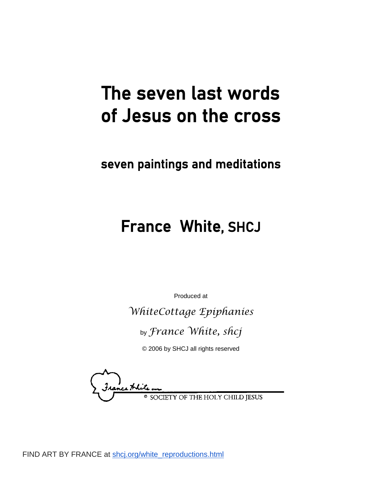# The seven last words of Jesus on the cross

## seven paintings and meditations

## France White, SHCJ

Produced at

*WhiteCottage Epiphanies*

by *France White, shcj*

© 2006 by SHCJ all rights reserved

nce Hhite Y OF THE HOLY CHILD JESUS

FIND ART BY FRANCE at [shcj.org/white\\_reproductions.html](http://shcj.org/white_reproductions.html)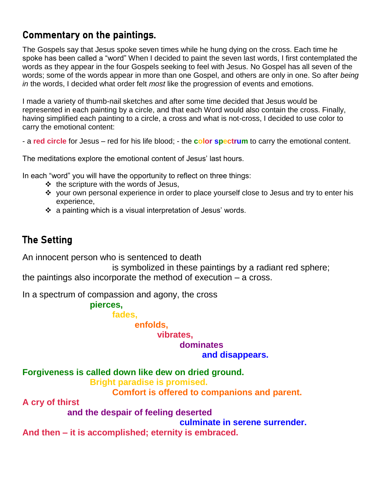#### Commentary on the paintings.

The Gospels say that Jesus spoke seven times while he hung dying on the cross. Each time he spoke has been called a "word" When I decided to paint the seven last words, I first contemplated the words as they appear in the four Gospels seeking to feel with Jesus. No Gospel has all seven of the words; some of the words appear in more than one Gospel, and others are only in one. So after *being in* the words, I decided what order felt *most* like the progression of events and emotions.

I made a variety of thumb-nail sketches and after some time decided that Jesus would be represented in each painting by a circle, and that each Word would also contain the cross. Finally, having simplified each painting to a circle, a cross and what is not-cross, I decided to use color to carry the emotional content:

- a **red circle** for Jesus – red for his life blood; - the **color spectrum** to carry the emotional content.

The meditations explore the emotional content of Jesus' last hours.

In each "word" you will have the opportunity to reflect on three things:

- $\cdot \cdot$  the scripture with the words of Jesus,
- \* your own personal experience in order to place yourself close to Jesus and try to enter his experience,
- $\cdot$  a painting which is a visual interpretation of Jesus' words.

## The Setting

An innocent person who is sentenced to death

is symbolized in these paintings by a radiant red sphere; the paintings also incorporate the method of execution – a cross.

In a spectrum of compassion and agony, the cross

**pierces,** 

**fades,** 

**enfolds,**

#### **vibrates,**

### **dominates**

**and disappears.** 

**Forgiveness is called down like dew on dried ground.**

**Bright paradise is promised.**

**Comfort is offered to companions and parent.**

**A cry of thirst**

**and the despair of feeling deserted**

**culminate in serene surrender.**

**And then – it is accomplished; eternity is embraced.**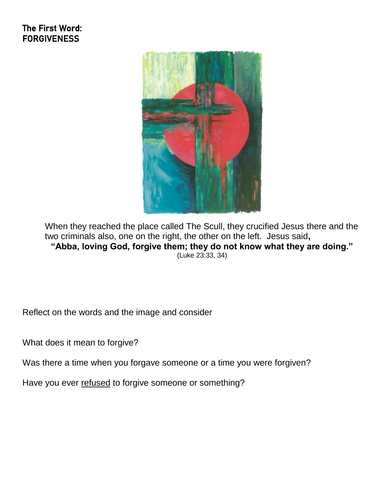#### The First Word: **FORGIVENESS**



When they reached the place called The Scull, they crucified Jesus there and the two criminals also, one on the right, the other on the left. Jesus said**, "Abba, loving God, forgive them; they do not know what they are doing."** (Luke 23:33, 34)

Reflect on the words and the image and consider

What does it mean to forgive?

Was there a time when you forgave someone or a time you were forgiven?

Have you ever refused to forgive someone or something?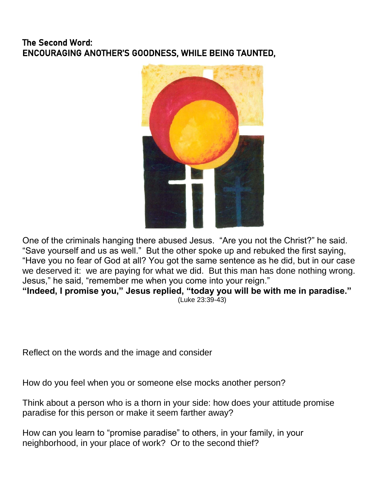#### The Second Word: ENCOURAGING ANOTHER'S GOODNESS, WHILE BEING TAUNTED,



One of the criminals hanging there abused Jesus. "Are you not the Christ?" he said. "Save yourself and us as well." But the other spoke up and rebuked the first saying, "Have you no fear of God at all? You got the same sentence as he did, but in our case we deserved it: we are paying for what we did. But this man has done nothing wrong. Jesus," he said, "remember me when you come into your reign." **"Indeed, I promise you," Jesus replied, "today you will be with me in paradise."**

(Luke 23:39-43)

Reflect on the words and the image and consider

How do you feel when you or someone else mocks another person?

Think about a person who is a thorn in your side: how does your attitude promise paradise for this person or make it seem farther away?

How can you learn to "promise paradise" to others, in your family, in your neighborhood, in your place of work? Or to the second thief?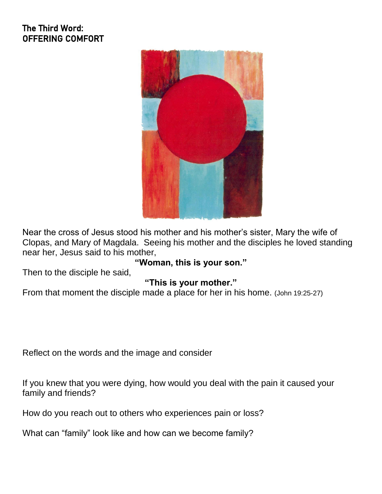#### The Third Word: OFFERING COMFORT



Near the cross of Jesus stood his mother and his mother's sister, Mary the wife of Clopas, and Mary of Magdala. Seeing his mother and the disciples he loved standing near her, Jesus said to his mother,

**"Woman, this is your son."**

Then to the disciple he said,

#### **"This is your mother."**

From that moment the disciple made a place for her in his home. (John 19:25-27)

Reflect on the words and the image and consider

If you knew that you were dying, how would you deal with the pain it caused your family and friends?

How do you reach out to others who experiences pain or loss?

What can "family" look like and how can we become family?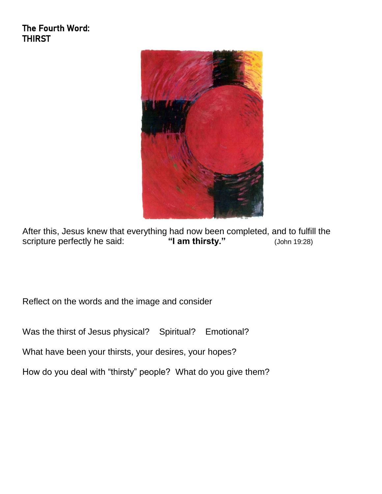The Fourth Word: THIRST



After this, Jesus knew that everything had now been completed, and to fulfill the scripture perfectly he said: "I am thirsty." (John 19:28) scripture perfectly he said: **"I am thirsty."** (John 19:28)

Reflect on the words and the image and consider

Was the thirst of Jesus physical? Spiritual? Emotional?

What have been your thirsts, your desires, your hopes?

How do you deal with "thirsty" people? What do you give them?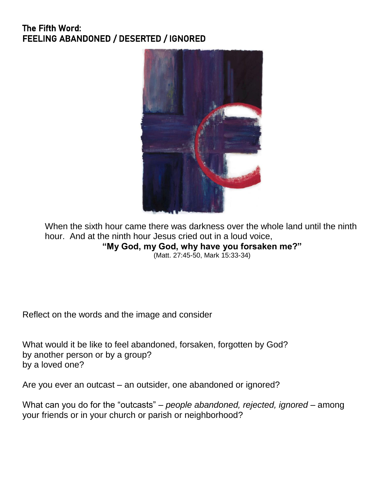#### The Fifth Word: FEELING ABANDONED / DESERTED / IGNORED



When the sixth hour came there was darkness over the whole land until the ninth hour. And at the ninth hour Jesus cried out in a loud voice, **"My God, my God, why have you forsaken me?"** (Matt. 27:45-50, Mark 15:33-34)

Reflect on the words and the image and consider

What would it be like to feel abandoned, forsaken, forgotten by God? by another person or by a group? by a loved one?

Are you ever an outcast – an outsider, one abandoned or ignored?

What can you do for the "outcasts" – *people abandoned, rejected, ignored* – among your friends or in your church or parish or neighborhood?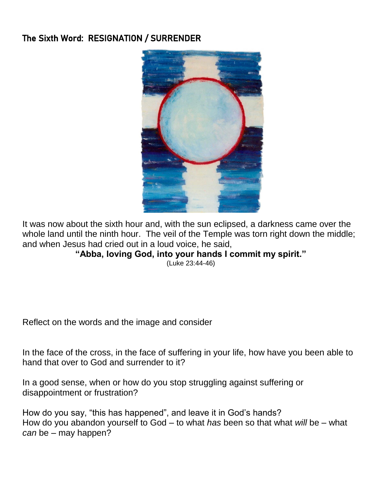#### The Sixth Word: RESIGNATION / SURRENDER



It was now about the sixth hour and, with the sun eclipsed, a darkness came over the whole land until the ninth hour. The veil of the Temple was torn right down the middle; and when Jesus had cried out in a loud voice, he said,

#### **"Abba, loving God, into your hands I commit my spirit."**

(Luke 23:44-46)

Reflect on the words and the image and consider

In the face of the cross, in the face of suffering in your life, how have you been able to hand that over to God and surrender to it?

In a good sense, when or how do you stop struggling against suffering or disappointment or frustration?

How do you say, "this has happened", and leave it in God's hands? How do you abandon yourself to God – to what *has* been so that what *will* be – what *can* be – may happen?